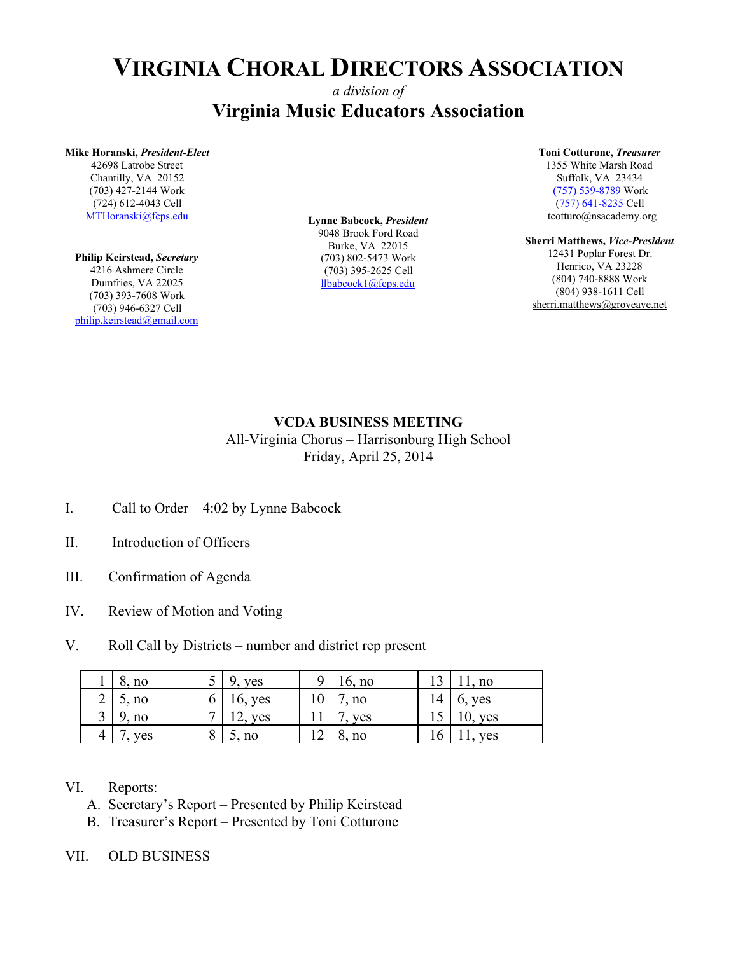# **VIRGINIA CHORAL DIRECTORS ASSOCIATION**

## *a division of* **Virginia Music Educators Association**

#### **Mike Horanski,** *President-Elect*

42698 Latrobe Street Chantilly, VA 20152 (703) 427-2144 Work (724) 612-4043 Cell [MTHoranski@fcps.edu](mailto:llbabcock1@fcps.edu)

#### **Philip Keirstead,** *Secretary* 4216 Ashmere Circle Dumfries, VA 22025 (703) 393-7608 Work (703) 946-6327 Cell [philip.keirstead@gmail.com](mailto:philip.keirstead@gmail.com)

**Lynne Babcock,** *President* 9048 Brook Ford Road Burke, VA 22015 (703) 802-5473 Work (703) 395-2625 Cell [llbabcock1@fcps.edu](mailto:llbabcock1@fcps.edu)

#### **Toni Cotturone,** *Treasurer*

1355 White Marsh Road Suffolk, VA 23434 (757) 539-8789 Work (757) 641-8235 Cell tcotturo@nsacademy.org

#### **Sherri Matthews,** *Vice-President* 12431 Poplar Forest Dr. Henrico, VA 23228 (804) 740-8888 Work (804) 938-1611 Cell

sherri.matthews@groveave.net

### **VCDA BUSINESS MEETING**

All-Virginia Chorus – Harrisonburg High School Friday, April 25, 2014

- I. Call to Order 4:02 by Lynne Babcock
- II. Introduction of Officers
- III. Confirmation of Agenda
- IV. Review of Motion and Voting
- V. Roll Call by Districts number and district rep present

| no  |   | ves               |    | $16$ , no |     | 1, no                 |
|-----|---|-------------------|----|-----------|-----|-----------------------|
| no. |   | 16, yes           | ΙV | , no      | 14  | ves<br>$\mathbf{0}$ . |
| no  |   | <b>ves</b><br>. . |    | yes       |     | yes                   |
| ves | Ω | no<br>ັ້          |    | 8, no     | . O | ves                   |

### VI. Reports:

- A. Secretary's Report Presented by Philip Keirstead
- B. Treasurer's Report Presented by Toni Cotturone
- VII. OLD BUSINESS